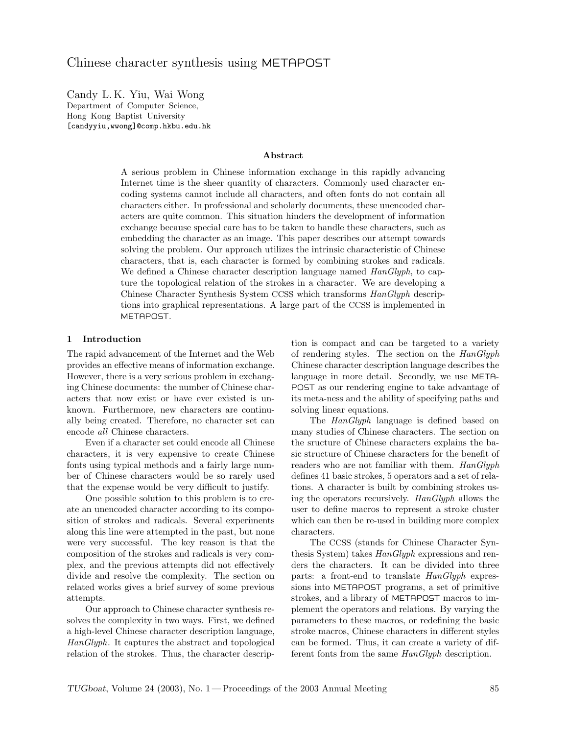Candy L. K. Yiu, Wai Wong Department of Computer Science, Hong Kong Baptist University [candyyiu,wwong]@comp.hkbu.edu.hk

#### Abstract

A serious problem in Chinese information exchange in this rapidly advancing Internet time is the sheer quantity of characters. Commonly used character encoding systems cannot include all characters, and often fonts do not contain all characters either. In professional and scholarly documents, these unencoded characters are quite common. This situation hinders the development of information exchange because special care has to be taken to handle these characters, such as embedding the character as an image. This paper describes our attempt towards solving the problem. Our approach utilizes the intrinsic characteristic of Chinese characters, that is, each character is formed by combining strokes and radicals. We defined a Chinese character description language named  $\text{HanGlyph}$ , to capture the topological relation of the strokes in a character. We are developing a Chinese Character Synthesis System CCSS which transforms HanGlyph descriptions into graphical representations. A large part of the CCSS is implemented in METAPOST.

# 1 Introduction

The rapid advancement of the Internet and the Web provides an effective means of information exchange. However, there is a very serious problem in exchanging Chinese documents: the number of Chinese characters that now exist or have ever existed is unknown. Furthermore, new characters are continually being created. Therefore, no character set can encode all Chinese characters.

Even if a character set could encode all Chinese characters, it is very expensive to create Chinese fonts using typical methods and a fairly large number of Chinese characters would be so rarely used that the expense would be very difficult to justify.

One possible solution to this problem is to create an unencoded character according to its composition of strokes and radicals. Several experiments along this line were attempted in the past, but none were very successful. The key reason is that the composition of the strokes and radicals is very complex, and the previous attempts did not effectively divide and resolve the complexity. The section on related works gives a brief survey of some previous attempts.

Our approach to Chinese character synthesis resolves the complexity in two ways. First, we defined a high-level Chinese character description language, HanGlyph. It captures the abstract and topological relation of the strokes. Thus, the character descrip-

tion is compact and can be targeted to a variety of rendering styles. The section on the  $\text{H}$ anGlyph Chinese character description language describes the language in more detail. Secondly, we use META-POST as our rendering engine to take advantage of its meta-ness and the ability of specifying paths and solving linear equations.

The *HanGlyph* language is defined based on many studies of Chinese characters. The section on the sructure of Chinese characters explains the basic structure of Chinese characters for the benefit of readers who are not familiar with them.  $\text{H}$ anGlyph defines 41 basic strokes, 5 operators and a set of relations. A character is built by combining strokes using the operators recursively. HanGlyph allows the user to define macros to represent a stroke cluster which can then be re-used in building more complex characters.

The CCSS (stands for Chinese Character Synthesis System) takes  $\text{HanGlyph}$  expressions and renders the characters. It can be divided into three parts: a front-end to translate HanGlyph expressions into METAPOST programs, a set of primitive strokes, and a library of METAPOST macros to implement the operators and relations. By varying the parameters to these macros, or redefining the basic stroke macros, Chinese characters in different styles can be formed. Thus, it can create a variety of different fonts from the same  $\text{HanGlyph}$  description.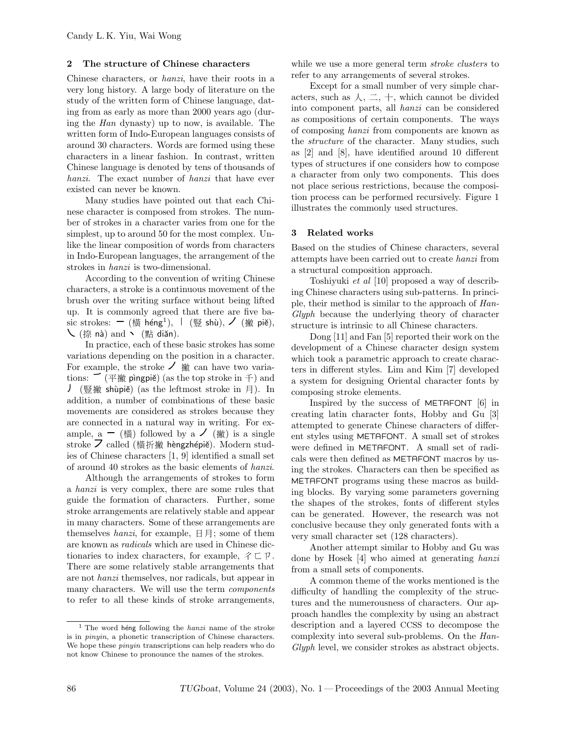# 2 The structure of Chinese characters

Chinese characters, or hanzi, have their roots in a very long history. A large body of literature on the study of the written form of Chinese language, dating from as early as more than 2000 years ago (during the Han dynasty) up to now, is available. The written form of Indo-European languages consists of around 30 characters. Words are formed using these characters in a linear fashion. In contrast, written Chinese language is denoted by tens of thousands of hanzi. The exact number of hanzi that have ever existed can never be known.

Many studies have pointed out that each Chinese character is composed from strokes. The number of strokes in a character varies from one for the simplest, up to around 50 for the most complex. Unlike the linear composition of words from characters in Indo-European languages, the arrangement of the strokes in hanzi is two-dimensional.

According to the convention of writing Chinese characters, a stroke is a continuous movement of the brush over the writing surface without being lifted up. It is commonly agreed that there are five basic strokes:  $-$  (橫 héng<sup>1</sup>), ㅣ (豎 shù), ノ (撇 piě),  $\setminus$  (捺 nà) and  $\setminus$  (點 diǎn).

In practice, each of these basic strokes has some variations depending on the position in a character. For example, the stroke  $\angle$   $\hat{\mathcal{H}}$  can have two variations:  $\tilde{\mathcal{P}}$  ( $\tilde{\mathcal{P}}$   $\tilde{\mathcal{R}}$  pìngpiě) (as the top stroke in  $\tilde{\mathcal{P}}$ ) and ) (豎撇 shùpiě) (as the leftmost stroke in 月). In addition, a number of combinations of these basic movements are considered as strokes because they are connected in a natural way in writing. For example,  $a - (\nexists)$  followed by  $a \nearrow (\nexists)$  is a single stroke  $\overline{Z}$  called (横折撇 hèngzhépiě). Modern studies of Chinese characters [1, 9] identified a small set of around 40 strokes as the basic elements of hanzi.

Although the arrangements of strokes to form a hanzi is very complex, there are some rules that guide the formation of characters. Further, some stroke arrangements are relatively stable and appear in many characters. Some of these arrangements are themselves *hanzi*, for example,  $\boxdot \Xi$ ; some of them are known as radicals which are used in Chinese dictionaries to index characters, for example,  $\not\subset \mathbb{P}$ . There are some relatively stable arrangements that are not hanzi themselves, nor radicals, but appear in many characters. We will use the term *components* to refer to all these kinds of stroke arrangements,

while we use a more general term *stroke clusters* to refer to any arrangements of several strokes.

Except for a small number of very simple characters, such as  $\lambda, \pm, +$ , which cannot be divided into component parts, all hanzi can be considered as compositions of certain components. The ways of composing hanzi from components are known as the *structure* of the character. Many studies, such as [2] and [8], have identified around 10 different types of structures if one considers how to compose a character from only two components. This does not place serious restrictions, because the composition process can be performed recursively. Figure 1 illustrates the commonly used structures.

# 3 Related works

Based on the studies of Chinese characters, several attempts have been carried out to create hanzi from a structural composition approach.

Toshiyuki et al [10] proposed a way of describing Chinese characters using sub-patterns. In principle, their method is similar to the approach of Han-Glyph because the underlying theory of character structure is intrinsic to all Chinese characters.

Dong [11] and Fan [5] reported their work on the development of a Chinese character design system which took a parametric approach to create characters in different styles. Lim and Kim [7] developed a system for designing Oriental character fonts by composing stroke elements.

Inspired by the success of METAFONT [6] in creating latin character fonts, Hobby and Gu [3] attempted to generate Chinese characters of different styles using METAFONT. A small set of strokes were defined in METAFONT. A small set of radicals were then defined as METAFONT macros by using the strokes. Characters can then be specified as METAFONT programs using these macros as building blocks. By varying some parameters governing the shapes of the strokes, fonts of different styles can be generated. However, the research was not conclusive because they only generated fonts with a very small character set (128 characters).

Another attempt similar to Hobby and Gu was done by Hosek [4] who aimed at generating hanzi from a small sets of components.

A common theme of the works mentioned is the difficulty of handling the complexity of the structures and the numerousness of characters. Our approach handles the complexity by using an abstract description and a layered CCSS to decompose the complexity into several sub-problems. On the Han-Glyph level, we consider strokes as abstract objects.

 $1$  The word heng following the *hanzi* name of the stroke is in pinyin, a phonetic transcription of Chinese characters. We hope these pinyin transcriptions can help readers who do not know Chinese to pronounce the names of the strokes.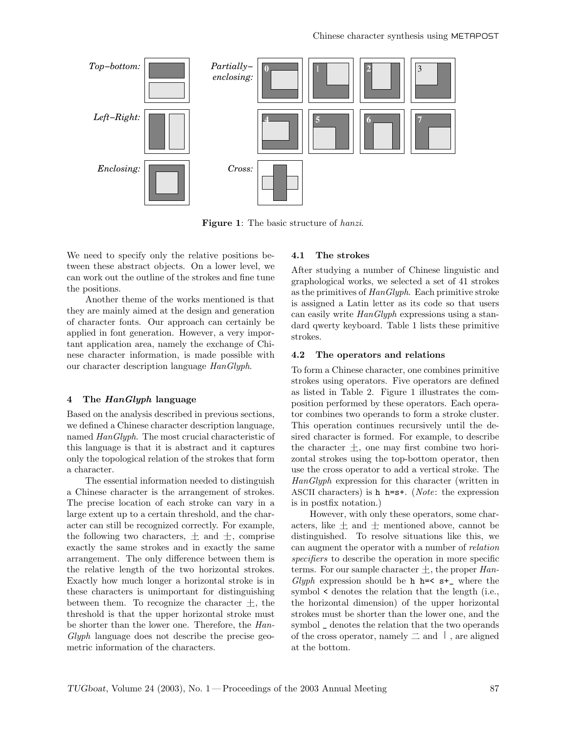

Figure 1: The basic structure of *hanzi*.

We need to specify only the relative positions between these abstract objects. On a lower level, we can work out the outline of the strokes and fine tune the positions.

Another theme of the works mentioned is that they are mainly aimed at the design and generation of character fonts. Our approach can certainly be applied in font generation. However, a very important application area, namely the exchange of Chinese character information, is made possible with our character description language HanGlyph.

# 4 The HanGlyph language

Based on the analysis described in previous sections, we defined a Chinese character description language, named HanGlyph. The most crucial characteristic of this language is that it is abstract and it captures only the topological relation of the strokes that form a character.

The essential information needed to distinguish a Chinese character is the arrangement of strokes. The precise location of each stroke can vary in a large extent up to a certain threshold, and the character can still be recognized correctly. For example, the following two characters,  $\pm$  and  $\pm$ , comprise exactly the same strokes and in exactly the same arrangement. The only difference between them is the relative length of the two horizontal strokes. Exactly how much longer a horizontal stroke is in these characters is unimportant for distinguishing between them. To recognize the character  $\pm$ , the threshold is that the upper horizontal stroke must be shorter than the lower one. Therefore, the Han-Glyph language does not describe the precise geometric information of the characters.

# 4.1 The strokes

After studying a number of Chinese linguistic and graphological works, we selected a set of 41 strokes as the primitives of  $\text{HanGlyph.}$  Each primitive stroke is assigned a Latin letter as its code so that users can easily write  $\text{H}$ anGlyph expressions using a standard qwerty keyboard. Table 1 lists these primitive strokes.

#### 4.2 The operators and relations

To form a Chinese character, one combines primitive strokes using operators. Five operators are defined as listed in Table 2. Figure 1 illustrates the composition performed by these operators. Each operator combines two operands to form a stroke cluster. This operation continues recursively until the desired character is formed. For example, to describe the character  $\pm$ , one may first combine two horizontal strokes using the top-bottom operator, then use the cross operator to add a vertical stroke. The HanGlyph expression for this character (written in ASCII characters) is **h** h= $s$ +. (*Note*: the expression is in postfix notation.)

However, with only these operators, some characters, like  $\pm$  and  $\pm$  mentioned above, cannot be distinguished. To resolve situations like this, we can augment the operator with a number of relation specifiers to describe the operation in more specific terms. For our sample character  $\pm$ , the proper Han-Glyph expression should be **h**  $h = < s<sup>+</sup>$ , where the symbol < denotes the relation that the length (i.e., the horizontal dimension) of the upper horizontal strokes must be shorter than the lower one, and the symbol \_ denotes the relation that the two operands of the cross operator, namely  $\equiv$  and  $\perp$ , are aligned at the bottom.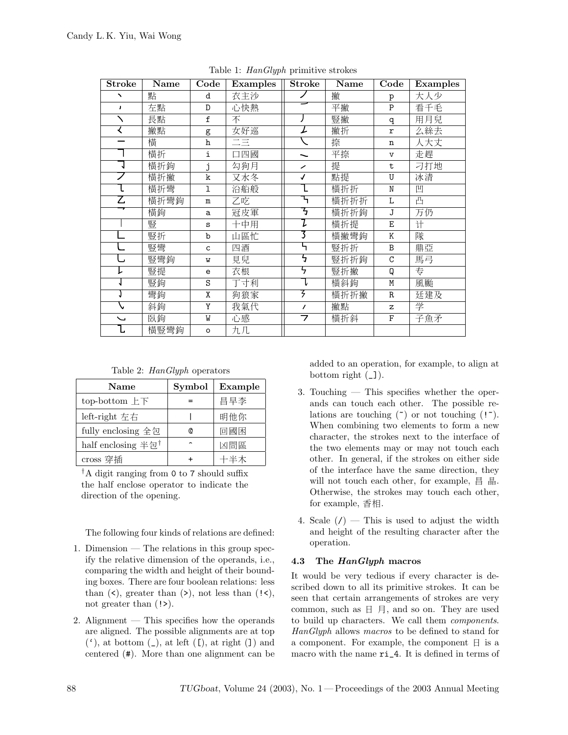| <b>Stroke</b>            | Name | Code         | Examples        | <b>Stroke</b> | Name | Code          | Examples |
|--------------------------|------|--------------|-----------------|---------------|------|---------------|----------|
| ↖                        | 點    | d            | 衣主沙             |               | 撇    | p             | 大人少      |
| $\mathbf{r}$             | 左點   | D            | 心快熱             |               | 平撇   | $\mathsf{P}$  | 看千毛      |
| $\Delta$                 | 長點   | f            | 不               |               | 豎撇   | q             | 用月兒      |
| く                        | 撇點   | g            | 女好巡             | L             | 撇折   | r             | 么絲去      |
|                          | 橫    | $\mathbf h$  | $\equiv \equiv$ |               | 捺    | n             | 人大丈      |
|                          | 横折   | i            | 口四國             |               | 平捺   | $\mathbf v$   | 走趕       |
|                          | 横折鉤  | j            | 勾狗月             | ╱             | 提    | $\mathbf t$   | 刁打地      |
|                          | 横折撇  | k            | 又水冬             | $\checkmark$  | 點提   | U             | 冰清       |
|                          | 横折彎  | $\mathbf 1$  | 沿船般             |               | 横折折  | N             | 凹        |
| Z                        | 横折彎鉤 | $\mathbf m$  | 乙吃              |               | 横折折折 | L             | 凸        |
|                          | 横鉤   | a            | 冠皮軍             | ᢋ             | 横折折鉤 | J             | 万仍       |
|                          | 豎    | S            | 十中用             | L             | 横折提  | E             | 计        |
|                          | 豎折   | $\mathbf b$  | 山區忙             |               | 横撇彎鉤 | K             | 隊        |
|                          | 豎彎   | $\mathsf{C}$ | 四酒              |               | 豎折折  | B             | 鼎亞       |
| U                        | 豎彎鉤  | W            | 見兒              | ל             | 豎折折鉤 | $\mathcal{C}$ | 馬弓       |
|                          | 豎提   | e            | 衣根              | ל             | 豎折撇  | Q             | 专        |
|                          | 豎鉤   | S            | 丁寸利             |               | 横斜鉤  | M             | 風颱       |
|                          | 彎鉤   | X            | 狗狼家             | 3             | 横折折撇 | $\mathbb R$   | 廷建及      |
|                          | 斜鉤   | Y            | 我氣代             | $\prime$      | 撇點   | $\mathbf{z}$  | 学        |
| $\overline{\phantom{0}}$ | 臥鉤   | W            | 心感              | 7             | 横折斜  | F             | 子魚矛      |
|                          | 横豎彎鉤 | $\circ$      | 九几              |               |      |               |          |

Table 1: HanGlyph primitive strokes

Table 2: HanGlyph operators

| Name                          | Symbol | Example |
|-------------------------------|--------|---------|
| top-bottom $E$ $\overline{F}$ |        | 昌早李     |
| left-right 左右                 |        | 明他你     |
| fully enclosing 全包            | Ø      | 回國困     |
| half enclosing 半包†            |        | 凶問區     |
| cross 穿插                      |        | 十半木     |

†A digit ranging from 0 to 7 should suffix the half enclose operator to indicate the direction of the opening.

The following four kinds of relations are defined:

- 1. Dimension The relations in this group specify the relative dimension of the operands, i.e., comparing the width and height of their bounding boxes. There are four boolean relations: less than  $(\leq)$ , greater than  $(\geq)$ , not less than  $(\leq)$ , not greater than  $(!)$ .
- 2. Alignment This specifies how the operands are aligned. The possible alignments are at top  $($ <sup>c</sup>), at bottom  $($ <sub>-</sub> $)$ , at left  $($ I $)$ , at right  $($  $)$  and centered (#). More than one alignment can be

added to an operation, for example, to align at bottom right  $(\_$ ).

- 3. Touching This specifies whether the operands can touch each other. The possible relations are touching  $(\tilde{\ })$  or not touching  $(\tilde{\ })$ . When combining two elements to form a new character, the strokes next to the interface of the two elements may or may not touch each other. In general, if the strokes on either side of the interface have the same direction, they will not touch each other, for example,  $\exists \exists$   $\exists \exists$ . Otherwise, the strokes may touch each other, for example,  $\Phi$ 相.
- 4. Scale  $(1)$  This is used to adjust the width and height of the resulting character after the operation.

# 4.3 The HanGlyph macros

It would be very tedious if every character is described down to all its primitive strokes. It can be seen that certain arrangements of strokes are very common, such as  $\exists \nexists$ , and so on. They are used to build up characters. We call them components. HanGlyph allows macros to be defined to stand for a component. For example, the component  $\boxminus$  is a macro with the name ri\_4. It is defined in terms of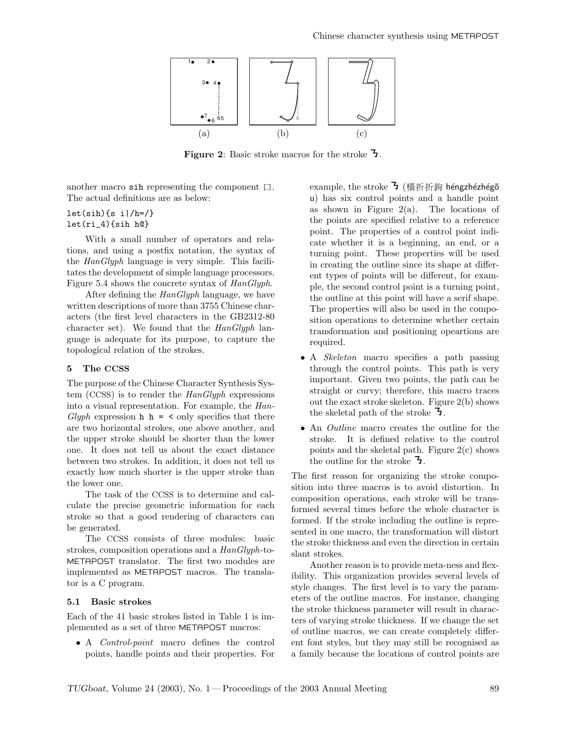

Figure 2: Basic stroke macros for the stroke J.

another macro sih representing the component  $\square$ . The actual definitions are as below:

 $let(sih)$ {s i|/h=/} let(ri\_4){sih h@}

With a small number of operators and relations, and using a postfix notation, the syntax of the HanGlyph language is very simple. This facilitates the development of simple language processors. Figure 5.4 shows the concrete syntax of HanGlyph.

After defining the HanGlyph language, we have written descriptions of more than 3755 Chinese characters (the first level characters in the GB2312-80 character set). We found that the  $\text{HanGlyph}$  language is adequate for its purpose, to capture the topological relation of the strokes.

# 5 The CCSS

The purpose of the Chinese Character Synthesis System (CCSS) is to render the HanGlyph expressions into a visual representation. For example, the Han- $Glyph$  expression **h**  $h = \langle$  only specifies that there are two horizontal strokes, one above another, and the upper stroke should be shorter than the lower one. It does not tell us about the exact distance between two strokes. In addition, it does not tell us exactly how much shorter is the upper stroke than the lower one.

The task of the CCSS is to determine and calculate the precise geometric information for each stroke so that a good rendering of characters can be generated.

The CCSS consists of three modules: basic strokes, composition operations and a HanGlyph-to-METAPOST translator. The first two modules are implemented as METAPOST macros. The translator is a C program.

# 5.1 Basic strokes

Each of the 41 basic strokes listed in Table 1 is implemented as a set of three METAPOST macros:

• A Control-point macro defines the control points, handle points and their properties. For

example, the stroke  $\mathbf{\bar{5}}$  (横折折鉤 héngzhézhégō u) has six control points and a handle point as shown in Figure  $2(a)$ . The locations of the points are specified relative to a reference point. The properties of a control point indicate whether it is a beginning, an end, or a turning point. These properties will be used in creating the outline since its shape at different types of points will be different, for example, the second control point is a turning point, the outline at this point will have a serif shape. The properties will also be used in the composition operations to determine whether certain transformation and positioning opeartions are required.

- A *Skeleton* macro specifies a path passing through the control points. This path is very important. Given two points, the path can be straight or curvy; therefore, this macro traces out the exact stroke skeleton. Figure 2(b) shows the skeletal path of the stroke  $\overline{\mathbf{z}}$ .
- An *Outline* macro creates the outline for the stroke. It is defined relative to the control points and the skeletal path. Figure 2(c) shows the outline for the stroke  $\overline{3}$ .

The first reason for organizing the stroke composition into three macros is to avoid distortion. In composition operations, each stroke will be transformed several times before the whole character is formed. If the stroke including the outline is represented in one macro, the transformation will distort the stroke thickness and even the direction in certain slant strokes.

Another reason is to provide meta-ness and flexibility. This organization provides several levels of style changes. The first level is to vary the parameters of the outline macros. For instance, changing the stroke thickness parameter will result in characters of varying stroke thickness. If we change the set of outline macros, we can create completely different font styles, but they may still be recognised as a family because the locations of control points are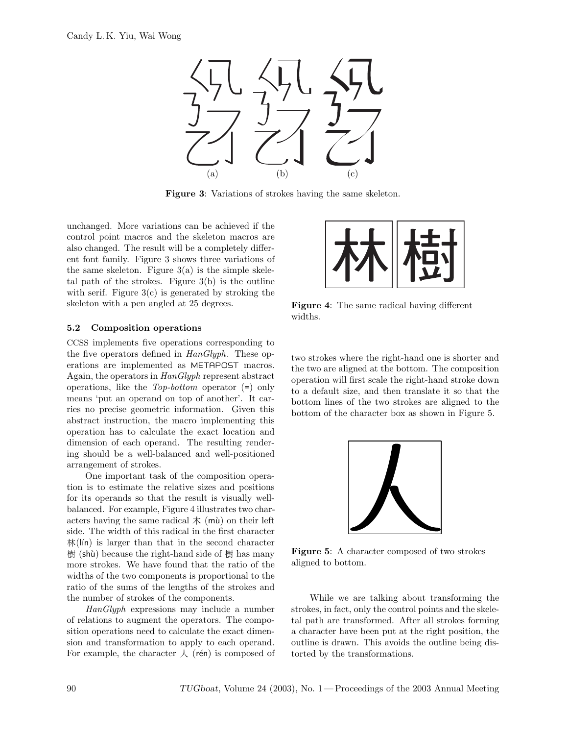

Figure 3: Variations of strokes having the same skeleton.

unchanged. More variations can be achieved if the control point macros and the skeleton macros are also changed. The result will be a completely different font family. Figure 3 shows three variations of the same skeleton. Figure  $3(a)$  is the simple skeletal path of the strokes. Figure 3(b) is the outline with serif. Figure  $3(c)$  is generated by stroking the skeleton with a pen angled at 25 degrees.

# 5.2 Composition operations

CCSS implements five operations corresponding to the five operators defined in  $\text{HanGlyph}$ . These operations are implemented as METAPOST macros. Again, the operators in HanGlyph represent abstract operations, like the Top-bottom operator (=) only means 'put an operand on top of another'. It carries no precise geometric information. Given this abstract instruction, the macro implementing this operation has to calculate the exact location and dimension of each operand. The resulting rendering should be a well-balanced and well-positioned arrangement of strokes.

One important task of the composition operation is to estimate the relative sizes and positions for its operands so that the result is visually wellbalanced. For example, Figure 4 illustrates two characters having the same radical  $\pi$  (mu) on their left side. The width of this radical in the first character  $\frac{d\mathbf{x}}{dt}$  (lin) is larger than that in the second character  $\ddot{\text{g}}$  (shu) because the right-hand side of  $\ddot{\text{g}}$  has many more strokes. We have found that the ratio of the widths of the two components is proportional to the ratio of the sums of the lengths of the strokes and the number of strokes of the components.

HanGlyph expressions may include a number of relations to augment the operators. The composition operations need to calculate the exact dimension and transformation to apply to each operand. For example, the character  $\lambda$  (rén) is composed of



Figure 4: The same radical having different widths.

two strokes where the right-hand one is shorter and the two are aligned at the bottom. The composition operation will first scale the right-hand stroke down to a default size, and then translate it so that the bottom lines of the two strokes are aligned to the bottom of the character box as shown in Figure 5.



Figure 5: A character composed of two strokes aligned to bottom.

While we are talking about transforming the strokes, in fact, only the control points and the skeletal path are transformed. After all strokes forming a character have been put at the right position, the outline is drawn. This avoids the outline being distorted by the transformations.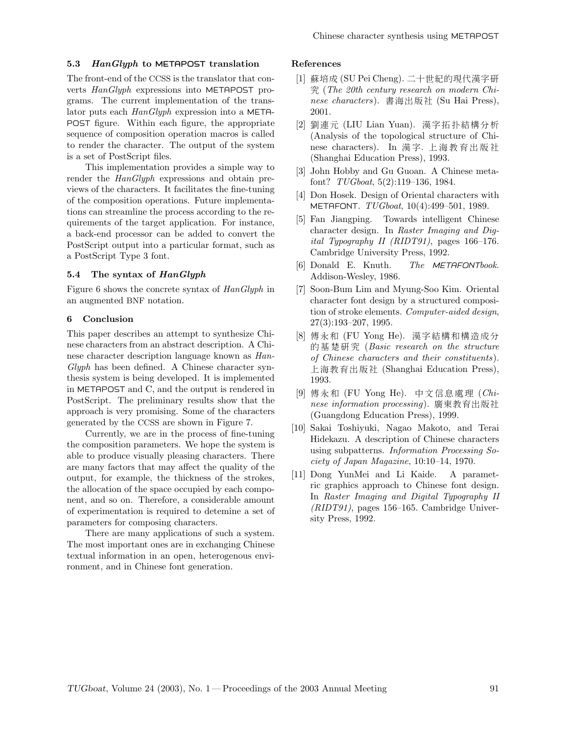# 5.3 HanGlyph to METAPOST translation

The front-end of the CCSS is the translator that converts HanGlyph expressions into METAPOST programs. The current implementation of the translator puts each HanGlyph expression into a META-POST figure. Within each figure, the appropriate sequence of composition operation macros is called to render the character. The output of the system is a set of PostScript files.

This implementation provides a simple way to render the  $HanGlyph$  expressions and obtain previews of the characters. It facilitates the fine-tuning of the composition operations. Future implementations can streamline the process according to the requirements of the target application. For instance, a back-end processor can be added to convert the PostScript output into a particular format, such as a PostScript Type 3 font.

# 5.4 The syntax of HanGlyph

Figure 6 shows the concrete syntax of HanGlyph in an augmented BNF notation.

# 6 Conclusion

This paper describes an attempt to synthesize Chinese characters from an abstract description. A Chinese character description language known as Han-Glyph has been defined. A Chinese character synthesis system is being developed. It is implemented in METAPOST and C, and the output is rendered in PostScript. The preliminary results show that the approach is very promising. Some of the characters generated by the CCSS are shown in Figure 7.

Currently, we are in the process of fine-tuning the composition parameters. We hope the system is able to produce visually pleasing characters. There are many factors that may affect the quality of the output, for example, the thickness of the strokes, the allocation of the space occupied by each component, and so on. Therefore, a considerable amount of experimentation is required to detemine a set of parameters for composing characters.

There are many applications of such a system. The most important ones are in exchanging Chinese textual information in an open, heterogenous environment, and in Chinese font generation.

# References

- [1] 蘇培成 (SU Pei Cheng). 二十世紀的現代漢字研  $\mathfrak{F}$  (The 20th century research on modern Chinese characters). 書海出版社 (Su Hai Press), 2001.
- [2] 劉連元 (LIU Lian Yuan). 漢字拓扑結構分析 (Analysis of the topological structure of Chinese characters). In 漢字. 上海教育出版社 (Shanghai Education Press), 1993.
- [3] John Hobby and Gu Guoan. A Chinese metafont? TUGboat, 5(2):119–136, 1984.
- [4] Don Hosek. Design of Oriental characters with METAFONT. TUGboat, 10(4):499–501, 1989.
- [5] Fan Jiangping. Towards intelligent Chinese character design. In Raster Imaging and Digital Typography II (RIDT91), pages 166–176. Cambridge University Press, 1992.
- [6] Donald E. Knuth. The METAFONTbook. Addison-Wesley, 1986.
- [7] Soon-Bum Lim and Myung-Soo Kim. Oriental character font design by a structured composition of stroke elements. Computer-aided design, 27(3):193–207, 1995.
- [8] 傅永和 (FU Yong He). 漢字結構和構造成分 的基楚研究 (Basic research on the structure of Chinese characters and their constituents). 上海教育出版社 (Shanghai Education Press), 1993.
- [9] 傅永和 (FU Yong He). 中文信息處理  $(Chi$ nese information processing). 廣東教育出版社 (Guangdong Education Press), 1999.
- [10] Sakai Toshiyuki, Nagao Makoto, and Terai Hidekazu. A description of Chinese characters using subpatterns. Information Processing Society of Japan Magazine, 10:10–14, 1970.
- [11] Dong YunMei and Li Kaide. A parametric graphics approach to Chinese font design. In Raster Imaging and Digital Typography II (RIDT91), pages 156–165. Cambridge University Press, 1992.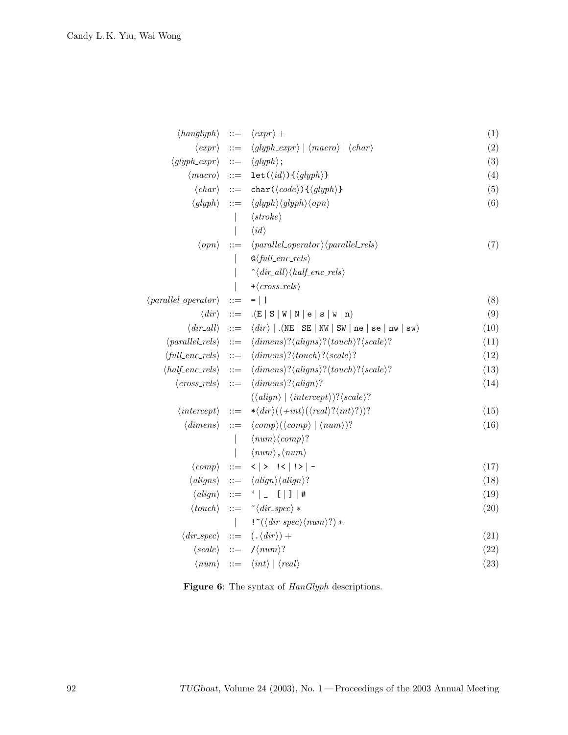| $\langle hanglyph \rangle$                   | $\therefore =$        | $\langle expr \rangle +$                                                                         | (1)  |
|----------------------------------------------|-----------------------|--------------------------------------------------------------------------------------------------|------|
| $\langle \text{expr} \rangle$                | $::=$                 | $\langle g yph\_expr \rangle   \langle macro \rangle   \langle char \rangle$                     | (2)  |
| $\langle$ glyph_expr $\rangle$               | $\cdots$              | $\langle glyph \rangle$ ;                                                                        | (3)  |
| $\langle macro\rangle$ ::=                   |                       | $\text{let}(\langle id \rangle) \{\langle glyph \rangle\}$                                       | (4)  |
| $\langle char \rangle$                       | $\therefore =$        | char( $\langle code \rangle$ ){ $\langle glyph \rangle$ }                                        | (5)  |
| $\langle glyph \rangle$                      | $::=$                 | $\langle glyph \rangle \langle glyph \rangle \langle opn \rangle$                                | (6)  |
|                                              |                       | $\langle stroke \rangle$                                                                         |      |
|                                              |                       | $\langle id \rangle$                                                                             |      |
| $\langle opn\rangle$                         | $::=$                 | $\langle parallel\_operator \rangle$ $\langle parallel_{rels} \rangle$                           | (7)  |
|                                              |                       | $\mathcal{Q}_{full\_enc\_rels}$                                                                  |      |
|                                              |                       | $\hat{\ }$ $\langle dir\_all \rangle \langle half\_enc\_rels \rangle$                            |      |
|                                              |                       | $+\langle cross_{\textit{res}}\rangle$                                                           |      |
| $\langle parallel\_{operator}\rangle$        | $::=$                 | $=$                                                                                              | (8)  |
| $\langle \textit{dir} \rangle$               | $\mathrel{\mathop:}=$ | (E S W N e s W n)                                                                                | (9)  |
|                                              |                       | $\langle dir\_all \rangle$ ::= $\langle dir \rangle$   . (NE   SE   NW   SW   ne   se   nw   sw) | (10) |
| $\langle parallel_{\text{rels}} \rangle$ ::= |                       | $\langle dimens \rangle? \langle aligns \rangle? \langle touch \rangle? \langle scale \rangle?$  | (11) |
| $\langle full\_enc\_rels \rangle$ ::=        |                       | $\langle dimens \rangle? \langle touch \rangle? \langle scale \rangle?$                          | (12) |
| $\langle half\_enc\_rels \rangle$ ::=        |                       | $\langle dimens \rangle? \langle aligns \rangle? \langle touch \rangle? \langle scale \rangle?$  | (13) |
| $\langle cross_rels \rangle$                 | $::=$                 | $\langle dimens \rangle ? \langle align \rangle ?$                                               | (14) |
|                                              |                       | $(\langle align \rangle   \langle intercept \rangle) ? \langle scale \rangle?$                   |      |
| $\langle intercept\rangle$                   | $\therefore =$        | $*\langle dir \rangle (\langle +int \rangle (\langle real \rangle ? \langle int \rangle ?))$ ?   | (15) |
| $\langle$ dimens $\rangle$                   | $\mathrel{\mathop:}=$ | $\langle comp \rangle (\langle comp \rangle   \langle num \rangle)$ ?                            | (16) |
|                                              | $\mathbf{I}$          | $\langle num \rangle \langle comp \rangle?$                                                      |      |
|                                              | $\mathsf{I}$          | $\langle num \rangle$ , $\langle num \rangle$                                                    |      |
| $\langle comp \rangle$                       |                       | $ ::= \langle \langle   \rangle   \langle \langle   \rangle   \rangle  $                         | (17) |
| $\langle aligns \rangle$                     |                       | $ ::= \langle align \rangle \langle align \rangle?$                                              | (18) |
|                                              |                       | $\langle align \rangle$ ::= ' _ [ ] #                                                            | (19) |
|                                              |                       | $\langle touch \rangle ::= \tilde{\ } \langle dir\_spec \rangle *$                               | (20) |
|                                              |                       | $!^{\sim}(\langle dir\_spec \rangle \langle num \rangle?)$                                       |      |
| $\langle \textit{dir\_spec} \rangle$ ::=     |                       | $(\,.\,\langle\,dir\rangle)\,+\,$                                                                | (21) |
|                                              |                       | $\langle scale \rangle$ ::= $\angle$ / $\langle num \rangle$ ?                                   | (22) |
|                                              |                       | $\langle num \rangle$ ::= $\langle int \rangle   \langle real \rangle$                           | (23) |
|                                              |                       |                                                                                                  |      |

Figure 6: The syntax of  $\text{HanGlyph}$  descriptions.